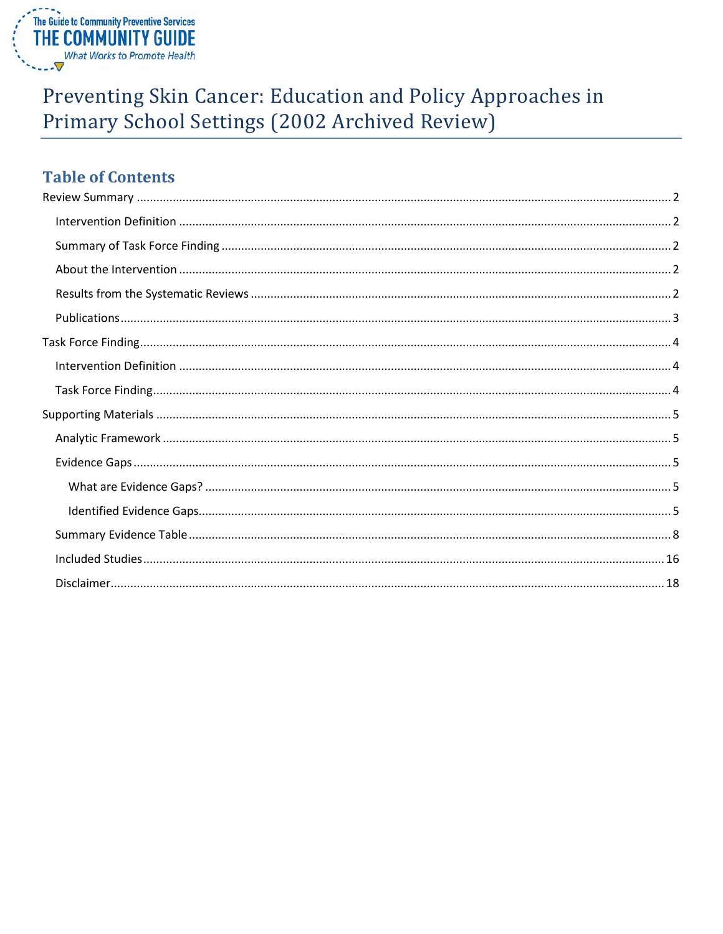

# Preventing Skin Cancer: Education and Policy Approaches in Primary School Settings (2002 Archived Review)

## **Table of Contents**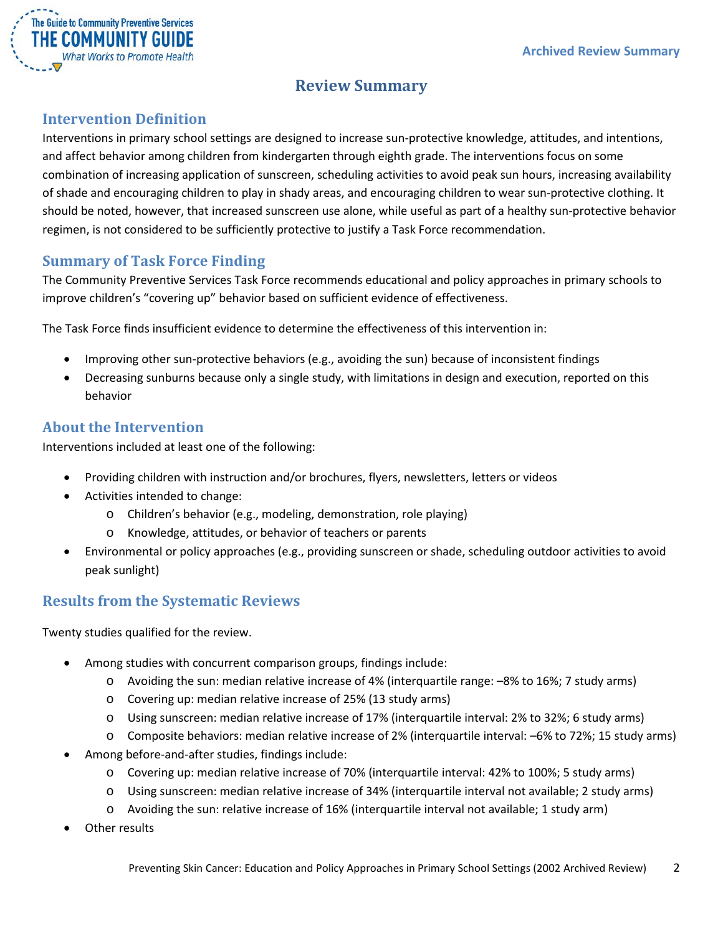

## **Review Summary**

#### <span id="page-1-1"></span><span id="page-1-0"></span>**Intervention Definition**

Interventions in primary school settings are designed to increase sun-protective knowledge, attitudes, and intentions, and affect behavior among children from kindergarten through eighth grade. The interventions focus on some combination of increasing application of sunscreen, scheduling activities to avoid peak sun hours, increasing availability of shade and encouraging children to play in shady areas, and encouraging children to wear sun-protective clothing. It should be noted, however, that increased sunscreen use alone, while useful as part of a healthy sun-protective behavior regimen, is not considered to be sufficiently protective to justify a Task Force recommendation.

#### <span id="page-1-2"></span>**Summary of Task Force Finding**

The Community Preventive Services Task Force recommends educational and policy approaches in primary schools to improve children's "covering up" behavior based on sufficient evidence of effectiveness.

The Task Force finds insufficient evidence to determine the effectiveness of this intervention in:

- Improving other sun-protective behaviors (e.g., avoiding the sun) because of inconsistent findings
- Decreasing sunburns because only a single study, with limitations in design and execution, reported on this behavior

#### <span id="page-1-3"></span>**About the Intervention**

Interventions included at least one of the following:

- Providing children with instruction and/or brochures, flyers, newsletters, letters or videos
- Activities intended to change:
	- o Children's behavior (e.g., modeling, demonstration, role playing)
	- o Knowledge, attitudes, or behavior of teachers or parents
- Environmental or policy approaches (e.g., providing sunscreen or shade, scheduling outdoor activities to avoid peak sunlight)

#### <span id="page-1-4"></span>**Results from the Systematic Reviews**

Twenty studies qualified for the review.

- Among studies with concurrent comparison groups, findings include:
	- o Avoiding the sun: median relative increase of 4% (interquartile range: –8% to 16%; 7 study arms)
	- o Covering up: median relative increase of 25% (13 study arms)
	- o Using sunscreen: median relative increase of 17% (interquartile interval: 2% to 32%; 6 study arms)
	- o Composite behaviors: median relative increase of 2% (interquartile interval: –6% to 72%; 15 study arms)
- Among before-and-after studies, findings include:
	- o Covering up: median relative increase of 70% (interquartile interval: 42% to 100%; 5 study arms)
	- o Using sunscreen: median relative increase of 34% (interquartile interval not available; 2 study arms)
	- o Avoiding the sun: relative increase of 16% (interquartile interval not available; 1 study arm)
- Other results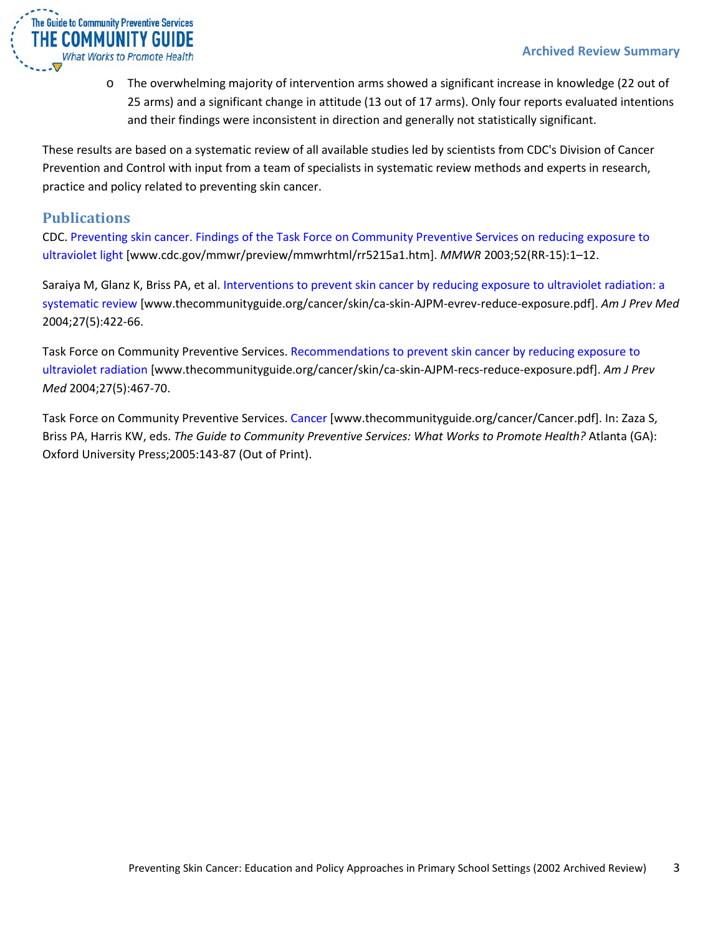#### **Archived Review Summary**



o The overwhelming majority of intervention arms showed a significant increase in knowledge (22 out of 25 arms) and a significant change in attitude (13 out of 17 arms). Only four reports evaluated intentions and their findings were inconsistent in direction and generally not statistically significant.

These results are based on a systematic review of all available studies led by scientists from CDC's Division of Cancer Prevention and Control with input from a team of specialists in systematic review methods and experts in research, practice and policy related to preventing skin cancer.

#### <span id="page-2-0"></span>**Publications**

CDC. [Preventing skin cancer. Findings of the Task Force on Community Preventive Services on reducing exposure to](http://www.cdc.gov/mmwr/preview/mmwrhtml/rr5215a1.htm)  [ultraviolet light](http://www.cdc.gov/mmwr/preview/mmwrhtml/rr5215a1.htm) [www.cdc.gov/mmwr/preview/mmwrhtml/rr5215a1.htm]. *MMWR* 2003;52(RR-15):1–12.

Saraiya M, Glanz K, Briss PA, et al. [Interventions to prevent skin cancer by reducing exposure to ultraviolet radiation: a](http://www.thecommunityguide.org/cancer/skin/ca-skin-AJPM-evrev-reduce-exposure.pdf)  [systematic review](http://www.thecommunityguide.org/cancer/skin/ca-skin-AJPM-evrev-reduce-exposure.pdf) [www.thecommunityguide.org/cancer/skin/ca-skin-AJPM-evrev-reduce-exposure.pdf]. *Am J Prev Med* 2004;27(5):422-66.

Task Force on Community Preventive Services. [Recommendations to prevent skin cancer by reducing exposure to](http://www.thecommunityguide.org/cancer/skin/ca-skin-AJPM-recs-reduce-exposure.pdf)  [ultraviolet radiation](http://www.thecommunityguide.org/cancer/skin/ca-skin-AJPM-recs-reduce-exposure.pdf) [www.thecommunityguide.org/cancer/skin/ca-skin-AJPM-recs-reduce-exposure.pdf]. *Am J Prev Med* 2004;27(5):467-70.

Task Force on Community Preventive Services. [Cancer](http://www.thecommunityguide.org/cancer/Cancer.pdf) [www.thecommunityguide.org/cancer/Cancer.pdf]. In: Zaza S, Briss PA, Harris KW, eds. *The Guide to Community Preventive Services: What Works to Promote Health?* Atlanta (GA): Oxford University Press;2005:143-87 (Out of Print).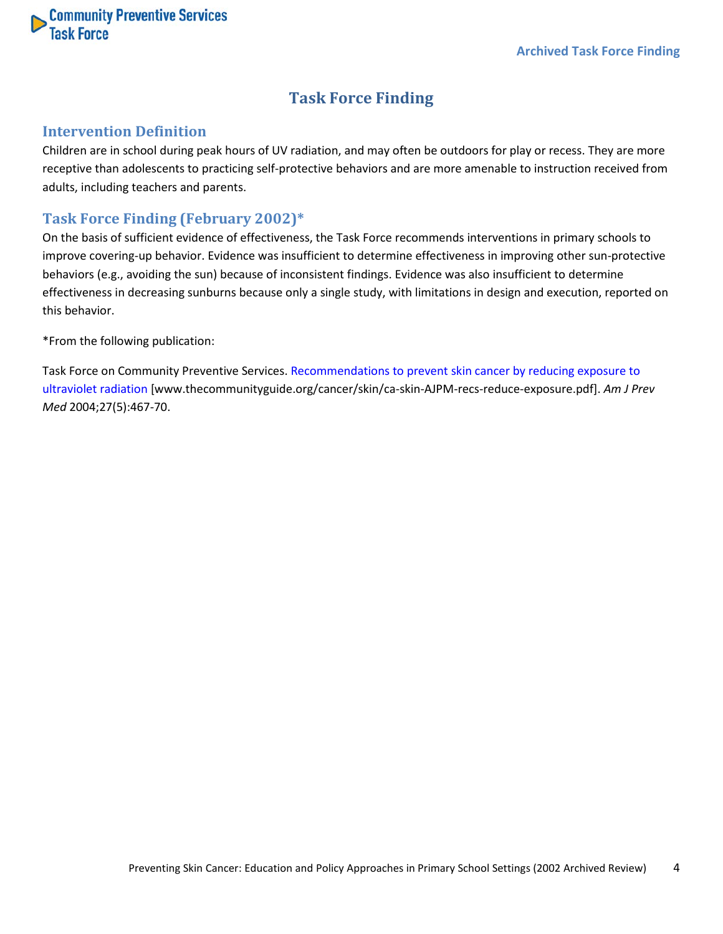<span id="page-3-0"></span>

## **Task Force Finding**

#### <span id="page-3-1"></span>**Intervention Definition**

Children are in school during peak hours of UV radiation, and may often be outdoors for play or recess. They are more receptive than adolescents to practicing self-protective behaviors and are more amenable to instruction received from adults, including teachers and parents.

#### <span id="page-3-2"></span>**Task Force Finding (February 2002)\***

On the basis of sufficient evidence of effectiveness, the Task Force recommends interventions in primary schools to improve covering-up behavior. Evidence was insufficient to determine effectiveness in improving other sun-protective behaviors (e.g., avoiding the sun) because of inconsistent findings. Evidence was also insufficient to determine effectiveness in decreasing sunburns because only a single study, with limitations in design and execution, reported on this behavior.

\*From the following publication:

Task Force on Community Preventive Services. [Recommendations to prevent skin cancer by reducing exposure to](http://www.thecommunityguide.org/cancer/skin/ca-skin-AJPM-recs-reduce-exposure.pdf)  [ultraviolet radiation](http://www.thecommunityguide.org/cancer/skin/ca-skin-AJPM-recs-reduce-exposure.pdf) [www.thecommunityguide.org/cancer/skin/ca-skin-AJPM-recs-reduce-exposure.pdf]. *Am J Prev Med* 2004;27(5):467-70.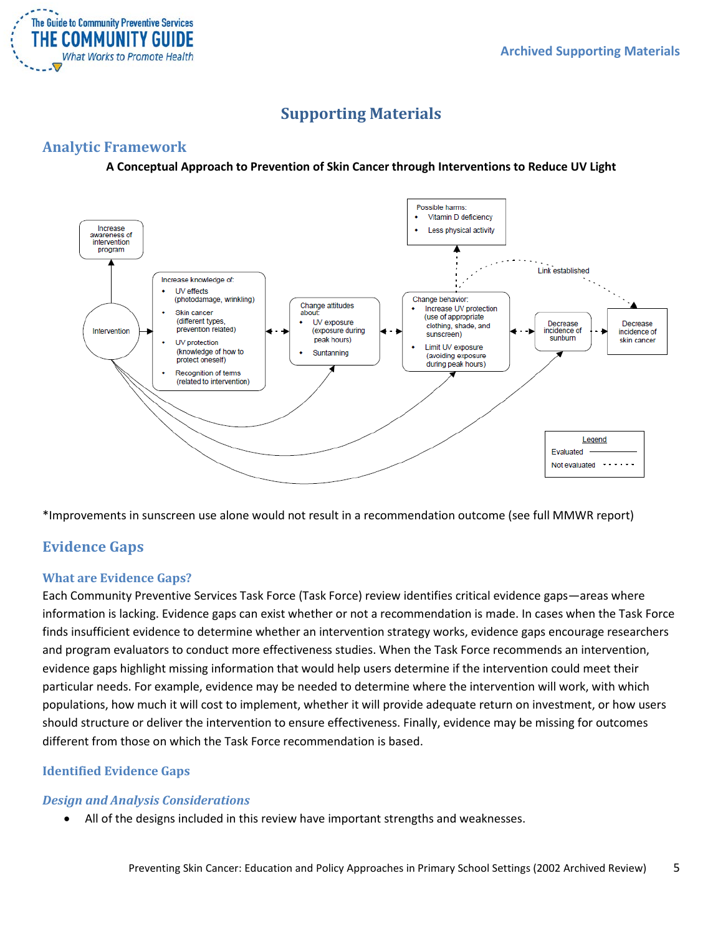

## **Supporting Materials**

#### <span id="page-4-1"></span><span id="page-4-0"></span>**Analytic Framework**

#### **A Conceptual Approach to Prevention of Skin Cancer through Interventions to Reduce UV Light**



\*Improvements in sunscreen use alone would not result in a recommendation outcome (see full MMWR report)

## <span id="page-4-2"></span>**Evidence Gaps**

#### <span id="page-4-3"></span>**What are Evidence Gaps?**

Each Community Preventive Services Task Force (Task Force) review identifies critical evidence gaps—areas where information is lacking. Evidence gaps can exist whether or not a recommendation is made. In cases when the Task Force finds insufficient evidence to determine whether an intervention strategy works, evidence gaps encourage researchers and program evaluators to conduct more effectiveness studies. When the Task Force recommends an intervention, evidence gaps highlight missing information that would help users determine if the intervention could meet their particular needs. For example, evidence may be needed to determine where the intervention will work, with which populations, how much it will cost to implement, whether it will provide adequate return on investment, or how users should structure or deliver the intervention to ensure effectiveness. Finally, evidence may be missing for outcomes different from those on which the Task Force recommendation is based.

#### <span id="page-4-4"></span>**Identified Evidence Gaps**

#### *Design and Analysis Considerations*

• All of the designs included in this review have important strengths and weaknesses.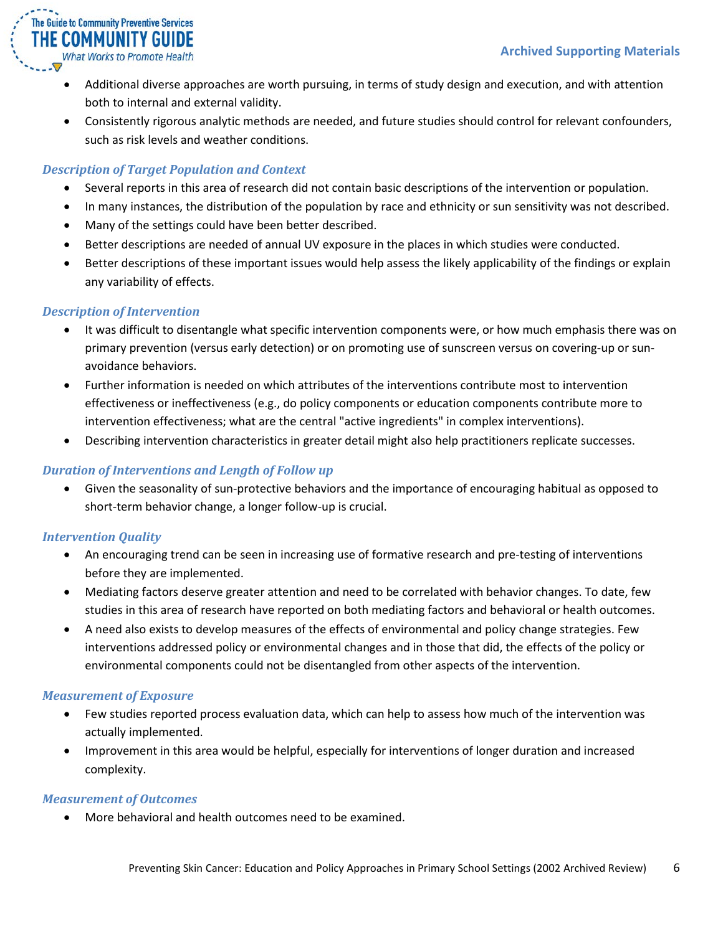

- Additional diverse approaches are worth pursuing, in terms of study design and execution, and with attention both to internal and external validity.
- Consistently rigorous analytic methods are needed, and future studies should control for relevant confounders, such as risk levels and weather conditions.

#### *Description of Target Population and Context*

- Several reports in this area of research did not contain basic descriptions of the intervention or population.
- In many instances, the distribution of the population by race and ethnicity or sun sensitivity was not described.
- Many of the settings could have been better described.
- Better descriptions are needed of annual UV exposure in the places in which studies were conducted.
- Better descriptions of these important issues would help assess the likely applicability of the findings or explain any variability of effects.

#### *Description of Intervention*

- It was difficult to disentangle what specific intervention components were, or how much emphasis there was on primary prevention (versus early detection) or on promoting use of sunscreen versus on covering-up or sunavoidance behaviors.
- Further information is needed on which attributes of the interventions contribute most to intervention effectiveness or ineffectiveness (e.g., do policy components or education components contribute more to intervention effectiveness; what are the central "active ingredients" in complex interventions).
- Describing intervention characteristics in greater detail might also help practitioners replicate successes.

#### *Duration of Interventions and Length of Follow up*

• Given the seasonality of sun-protective behaviors and the importance of encouraging habitual as opposed to short-term behavior change, a longer follow-up is crucial.

#### *Intervention Quality*

- An encouraging trend can be seen in increasing use of formative research and pre-testing of interventions before they are implemented.
- Mediating factors deserve greater attention and need to be correlated with behavior changes. To date, few studies in this area of research have reported on both mediating factors and behavioral or health outcomes.
- A need also exists to develop measures of the effects of environmental and policy change strategies. Few interventions addressed policy or environmental changes and in those that did, the effects of the policy or environmental components could not be disentangled from other aspects of the intervention.

#### *Measurement of Exposure*

- Few studies reported process evaluation data, which can help to assess how much of the intervention was actually implemented.
- Improvement in this area would be helpful, especially for interventions of longer duration and increased complexity.

#### *Measurement of Outcomes*

• More behavioral and health outcomes need to be examined.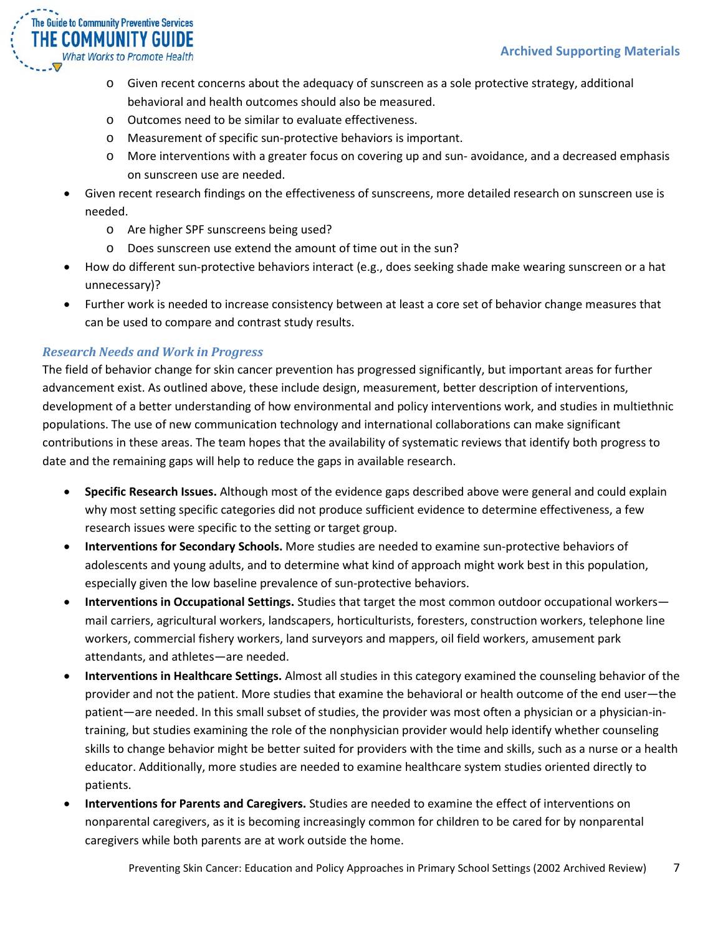

- o Given recent concerns about the adequacy of sunscreen as a sole protective strategy, additional behavioral and health outcomes should also be measured.
- o Outcomes need to be similar to evaluate effectiveness.
- o Measurement of specific sun-protective behaviors is important.
- o More interventions with a greater focus on covering up and sun- avoidance, and a decreased emphasis on sunscreen use are needed.
- Given recent research findings on the effectiveness of sunscreens, more detailed research on sunscreen use is needed.
	- o Are higher SPF sunscreens being used?
	- o Does sunscreen use extend the amount of time out in the sun?
- How do different sun-protective behaviors interact (e.g., does seeking shade make wearing sunscreen or a hat unnecessary)?
- Further work is needed to increase consistency between at least a core set of behavior change measures that can be used to compare and contrast study results.

#### *Research Needs and Work in Progress*

The field of behavior change for skin cancer prevention has progressed significantly, but important areas for further advancement exist. As outlined above, these include design, measurement, better description of interventions, development of a better understanding of how environmental and policy interventions work, and studies in multiethnic populations. The use of new communication technology and international collaborations can make significant contributions in these areas. The team hopes that the availability of systematic reviews that identify both progress to date and the remaining gaps will help to reduce the gaps in available research.

- **Specific Research Issues.** Although most of the evidence gaps described above were general and could explain why most setting specific categories did not produce sufficient evidence to determine effectiveness, a few research issues were specific to the setting or target group.
- **Interventions for Secondary Schools.** More studies are needed to examine sun-protective behaviors of adolescents and young adults, and to determine what kind of approach might work best in this population, especially given the low baseline prevalence of sun-protective behaviors.
- **Interventions in Occupational Settings.** Studies that target the most common outdoor occupational workers mail carriers, agricultural workers, landscapers, horticulturists, foresters, construction workers, telephone line workers, commercial fishery workers, land surveyors and mappers, oil field workers, amusement park attendants, and athletes—are needed.
- **Interventions in Healthcare Settings.** Almost all studies in this category examined the counseling behavior of the provider and not the patient. More studies that examine the behavioral or health outcome of the end user—the patient—are needed. In this small subset of studies, the provider was most often a physician or a physician-intraining, but studies examining the role of the nonphysician provider would help identify whether counseling skills to change behavior might be better suited for providers with the time and skills, such as a nurse or a health educator. Additionally, more studies are needed to examine healthcare system studies oriented directly to patients.
- **Interventions for Parents and Caregivers.** Studies are needed to examine the effect of interventions on nonparental caregivers, as it is becoming increasingly common for children to be cared for by nonparental caregivers while both parents are at work outside the home.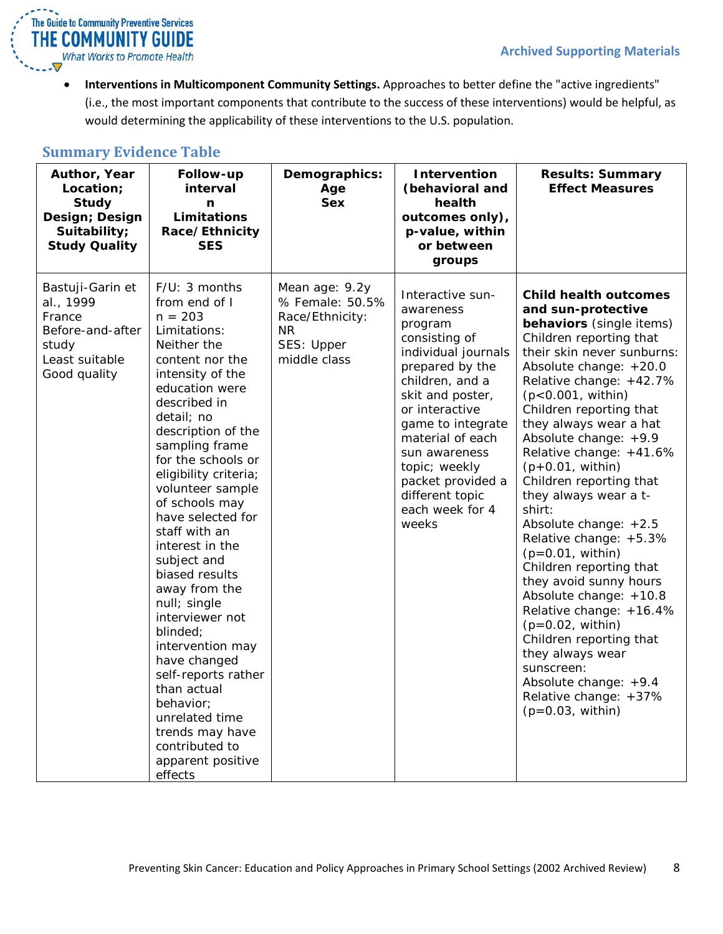

• **Interventions in Multicomponent Community Settings.** Approaches to better define the "active ingredients" (i.e., the most important components that contribute to the success of these interventions) would be helpful, as would determining the applicability of these interventions to the U.S. population.

## <span id="page-7-0"></span>**Summary Evidence Table**

| Author, Year<br>Location;<br><b>Study</b><br>Design; Design<br>Suitability;<br><b>Study Quality</b>    | Follow-up<br>interval<br>n<br>Limitations<br>Race/Ethnicity<br><b>SES</b>                                                                                                                                                                                                                                                                                                                                                                                                                                                                                                                                                              | Demographics:<br>Age<br><b>Sex</b>                                                              | Intervention<br>(behavioral and<br>health<br>outcomes only),<br>p-value, within<br>or between<br>groups                                                                                                                                                                                                     | <b>Results: Summary</b><br><b>Effect Measures</b>                                                                                                                                                                                                                                                                                                                                                                                                                                                                                                                                                                                                                                                                                                                    |
|--------------------------------------------------------------------------------------------------------|----------------------------------------------------------------------------------------------------------------------------------------------------------------------------------------------------------------------------------------------------------------------------------------------------------------------------------------------------------------------------------------------------------------------------------------------------------------------------------------------------------------------------------------------------------------------------------------------------------------------------------------|-------------------------------------------------------------------------------------------------|-------------------------------------------------------------------------------------------------------------------------------------------------------------------------------------------------------------------------------------------------------------------------------------------------------------|----------------------------------------------------------------------------------------------------------------------------------------------------------------------------------------------------------------------------------------------------------------------------------------------------------------------------------------------------------------------------------------------------------------------------------------------------------------------------------------------------------------------------------------------------------------------------------------------------------------------------------------------------------------------------------------------------------------------------------------------------------------------|
| Bastuji-Garin et<br>al., 1999<br>France<br>Before-and-after<br>study<br>Least suitable<br>Good quality | F/U: 3 months<br>from end of I<br>$n = 203$<br>Limitations:<br>Neither the<br>content nor the<br>intensity of the<br>education were<br>described in<br>detail; no<br>description of the<br>sampling frame<br>for the schools or<br>eligibility criteria;<br>volunteer sample<br>of schools may<br>have selected for<br>staff with an<br>interest in the<br>subject and<br>biased results<br>away from the<br>null; single<br>interviewer not<br>blinded;<br>intervention may<br>have changed<br>self-reports rather<br>than actual<br>behavior;<br>unrelated time<br>trends may have<br>contributed to<br>apparent positive<br>effects | Mean age: 9.2y<br>% Female: 50.5%<br>Race/Ethnicity:<br><b>NR</b><br>SES: Upper<br>middle class | Interactive sun-<br>awareness<br>program<br>consisting of<br>individual journals<br>prepared by the<br>children, and a<br>skit and poster,<br>or interactive<br>game to integrate<br>material of each<br>sun awareness<br>topic; weekly<br>packet provided a<br>different topic<br>each week for 4<br>weeks | <b>Child health outcomes</b><br>and sun-protective<br>behaviors (single items)<br>Children reporting that<br>their skin never sunburns:<br>Absolute change: +20.0<br>Relative change: +42.7%<br>$(p<0.001,$ within)<br>Children reporting that<br>they always wear a hat<br>Absolute change: $+9.9$<br>Relative change: +41.6%<br>$(p+0.01,$ within)<br>Children reporting that<br>they always wear a t-<br>shirt:<br>Absolute change: $+2.5$<br>Relative change: +5.3%<br>$(p=0.01,$ within)<br>Children reporting that<br>they avoid sunny hours<br>Absolute change: +10.8<br>Relative change: +16.4%<br>$(p=0.02,$ within)<br>Children reporting that<br>they always wear<br>sunscreen:<br>Absolute change: $+9.4$<br>Relative change: +37%<br>$(p=0.03,$ within) |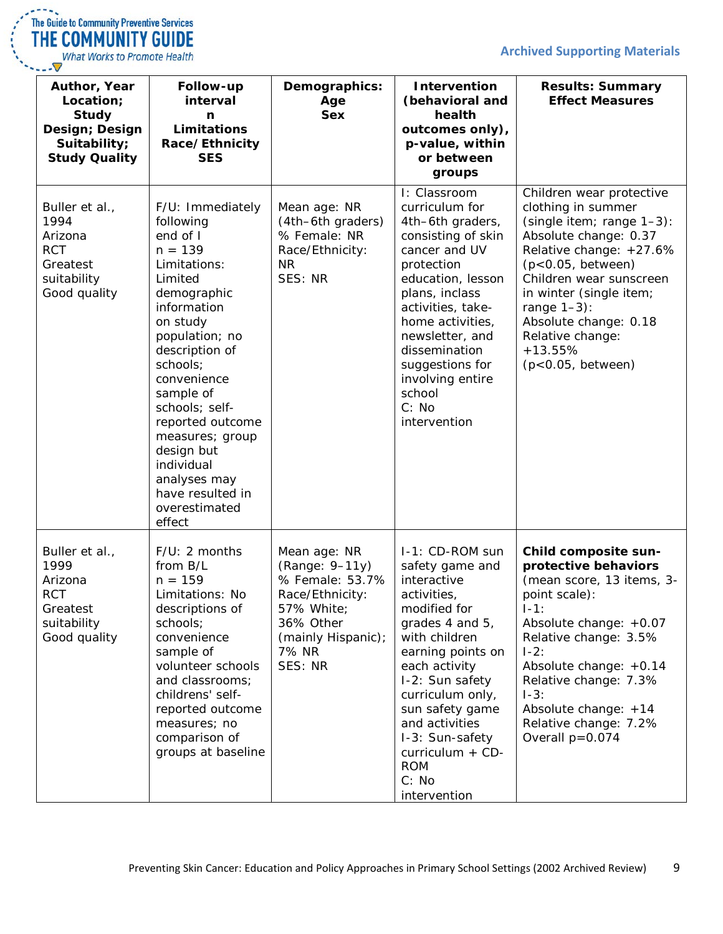What Works to Promote Health  $\overline{\nabla}$ 

| Author, Year<br>Location;<br><b>Study</b><br>Design; Design<br>Suitability;<br><b>Study Quality</b> | Follow-up<br>interval<br>n<br>Limitations<br>Race/Ethnicity<br><b>SES</b>                                                                                                                                                                                                                                                                                   | Demographics:<br>Age<br><b>Sex</b>                                                                                                               | Intervention<br>(behavioral and<br>health<br>outcomes only),<br>p-value, within<br>or between<br>groups                                                                                                                                                                                                              | <b>Results: Summary</b><br><b>Effect Measures</b>                                                                                                                                                                                                                                                              |
|-----------------------------------------------------------------------------------------------------|-------------------------------------------------------------------------------------------------------------------------------------------------------------------------------------------------------------------------------------------------------------------------------------------------------------------------------------------------------------|--------------------------------------------------------------------------------------------------------------------------------------------------|----------------------------------------------------------------------------------------------------------------------------------------------------------------------------------------------------------------------------------------------------------------------------------------------------------------------|----------------------------------------------------------------------------------------------------------------------------------------------------------------------------------------------------------------------------------------------------------------------------------------------------------------|
| Buller et al.,<br>1994<br>Arizona<br><b>RCT</b><br>Greatest<br>suitability<br>Good quality          | F/U: Immediately<br>following<br>end of I<br>$n = 139$<br>Limitations:<br>Limited<br>demographic<br>information<br>on study<br>population; no<br>description of<br>schools;<br>convenience<br>sample of<br>schools; self-<br>reported outcome<br>measures; group<br>design but<br>individual<br>analyses may<br>have resulted in<br>overestimated<br>effect | Mean age: NR<br>(4th-6th graders)<br>% Female: NR<br>Race/Ethnicity:<br><b>NR</b><br>SES: NR                                                     | I: Classroom<br>curriculum for<br>4th-6th graders,<br>consisting of skin<br>cancer and UV<br>protection<br>education, lesson<br>plans, inclass<br>activities, take-<br>home activities,<br>newsletter, and<br>dissemination<br>suggestions for<br>involving entire<br>school<br>C: No<br>intervention                | Children wear protective<br>clothing in summer<br>(single item; range 1-3):<br>Absolute change: 0.37<br>Relative change: +27.6%<br>$(p<0.05,$ between)<br>Children wear sunscreen<br>in winter (single item;<br>range $1-3$ :<br>Absolute change: 0.18<br>Relative change:<br>$+13.55%$<br>$(p<0.05,$ between) |
| Buller et al.,<br>1999<br>Arizona<br><b>RCT</b><br>Greatest<br>suitability<br>Good quality          | F/U: 2 months<br>from B/L<br>$n = 159$<br>Limitations: No<br>descriptions of<br>schools;<br>convenience<br>sample of<br>volunteer schools<br>and classrooms;<br>childrens' self-<br>reported outcome<br>measures; no<br>comparison of<br>groups at baseline                                                                                                 | Mean age: NR<br>(Range: 9-11y)<br>% Female: 53.7%<br>Race/Ethnicity:<br>57% White;<br>36% Other<br>(mainly Hispanic);<br><b>7% NR</b><br>SES: NR | I-1: CD-ROM sun<br>safety game and<br>interactive<br>activities,<br>modified for<br>grades 4 and 5,<br>with children<br>earning points on<br>each activity<br>I-2: Sun safety<br>curriculum only,<br>sun safety game<br>and activities<br>I-3: Sun-safety<br>curriculum + CD-<br><b>ROM</b><br>C: No<br>intervention | Child composite sun-<br>protective behaviors<br>(mean score, 13 items, 3-<br>point scale):<br>$1 - 1:$<br>Absolute change: $+0.07$<br>Relative change: 3.5%<br>$1-2:$<br>Absolute change: +0.14<br>Relative change: 7.3%<br>$1-3:$<br>Absolute change: +14<br>Relative change: 7.2%<br>Overall $p=0.074$       |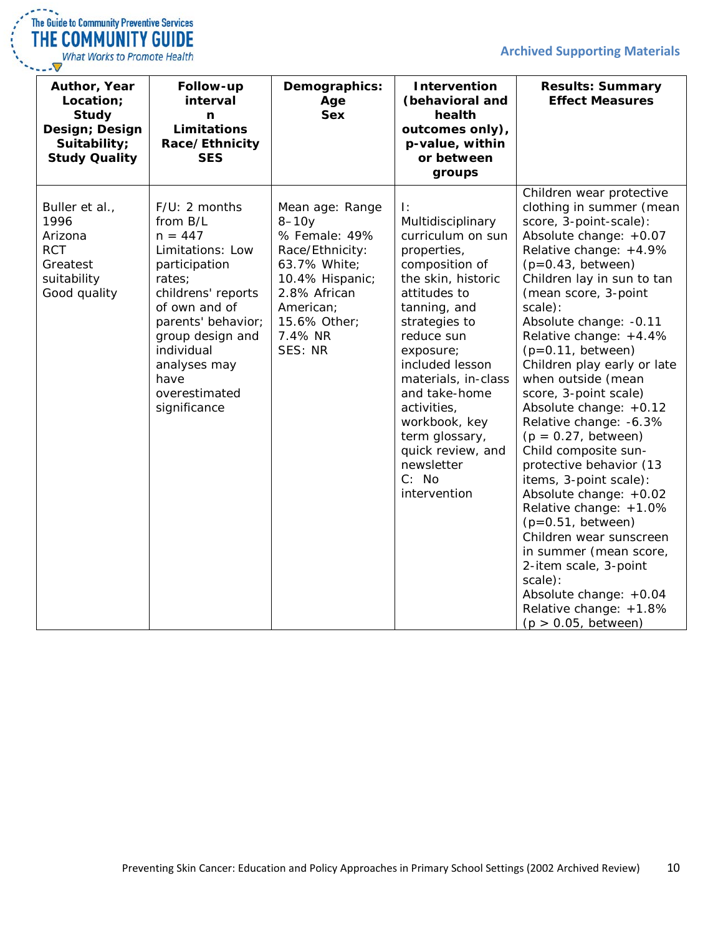What Works to Promote Health  $\overline{\nabla}$ --

| Author, Year<br>Location;<br><b>Study</b><br>Design; Design<br>Suitability;<br><b>Study Quality</b> | Follow-up<br>interval<br>n<br>Limitations<br>Race/Ethnicity<br><b>SES</b>                                                                                                                                                                     | Demographics:<br>Age<br><b>Sex</b>                                                                                                                                   | Intervention<br>(behavioral and<br>health<br>outcomes only),<br>p-value, within<br>or between<br>groups                                                                                                                                                                                                                                                  | <b>Results: Summary</b><br><b>Effect Measures</b>                                                                                                                                                                                                                                                                                                                                                                                                                                                                                                                                                                                                                                                                                                                                                 |
|-----------------------------------------------------------------------------------------------------|-----------------------------------------------------------------------------------------------------------------------------------------------------------------------------------------------------------------------------------------------|----------------------------------------------------------------------------------------------------------------------------------------------------------------------|----------------------------------------------------------------------------------------------------------------------------------------------------------------------------------------------------------------------------------------------------------------------------------------------------------------------------------------------------------|---------------------------------------------------------------------------------------------------------------------------------------------------------------------------------------------------------------------------------------------------------------------------------------------------------------------------------------------------------------------------------------------------------------------------------------------------------------------------------------------------------------------------------------------------------------------------------------------------------------------------------------------------------------------------------------------------------------------------------------------------------------------------------------------------|
| Buller et al.,<br>1996<br>Arizona<br><b>RCT</b><br>Greatest<br>suitability<br>Good quality          | F/U: 2 months<br>from B/L<br>$n = 447$<br>Limitations: Low<br>participation<br>rates;<br>childrens' reports<br>of own and of<br>parents' behavior;<br>group design and<br>individual<br>analyses may<br>have<br>overestimated<br>significance | Mean age: Range<br>$8-10y$<br>% Female: 49%<br>Race/Ethnicity:<br>63.7% White;<br>10.4% Hispanic;<br>2.8% African<br>American;<br>15.6% Other;<br>7.4% NR<br>SES: NR | I:<br>Multidisciplinary<br>curriculum on sun<br>properties,<br>composition of<br>the skin, historic<br>attitudes to<br>tanning, and<br>strategies to<br>reduce sun<br>exposure;<br>included lesson<br>materials, in-class<br>and take-home<br>activities,<br>workbook, key<br>term glossary,<br>quick review, and<br>newsletter<br>C: No<br>intervention | Children wear protective<br>clothing in summer (mean<br>score, 3-point-scale):<br>Absolute change: +0.07<br>Relative change: +4.9%<br>$(p=0.43,$ between)<br>Children lay in sun to tan<br>(mean score, 3-point<br>scale):<br>Absolute change: - 0.11<br>Relative change: $+4.4%$<br>$(p=0.11,$ between)<br>Children play early or late<br>when outside (mean<br>score, 3-point scale)<br>Absolute change: +0.12<br>Relative change: -6.3%<br>$(p = 0.27, between)$<br>Child composite sun-<br>protective behavior (13<br>items, 3-point scale):<br>Absolute change: +0.02<br>Relative change: +1.0%<br>$(p=0.51, between)$<br>Children wear sunscreen<br>in summer (mean score,<br>2-item scale, 3-point<br>scale):<br>Absolute change: +0.04<br>Relative change: +1.8%<br>$(p > 0.05,$ between) |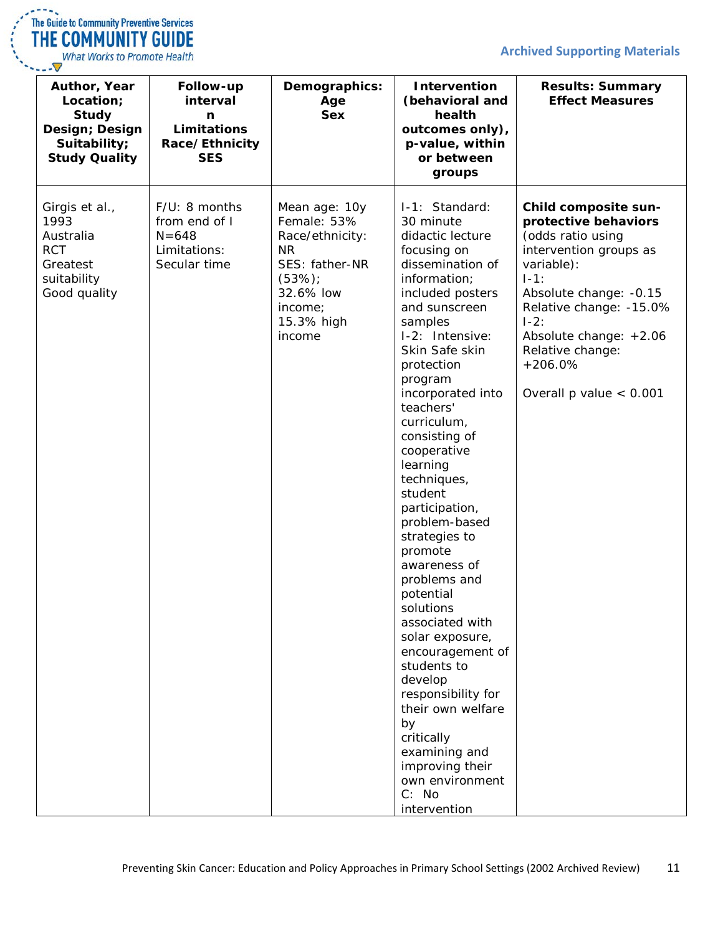What Works to Promote Health  $\sqrt{ }$ 

| Author, Year<br>Location;<br><b>Study</b><br>Design; Design<br>Suitability;<br><b>Study Quality</b> | Follow-up<br>interval<br>n<br>Limitations<br>Race/Ethnicity<br><b>SES</b>   | Demographics:<br>Age<br><b>Sex</b>                                                                                                          | Intervention<br>(behavioral and<br>health<br>outcomes only),<br>p-value, within<br>or between<br>groups                                                                                                                                                                                                                                                                                                                                                                                                                                                                                                                                                                                             | <b>Results: Summary</b><br><b>Effect Measures</b>                                                                                                                                                                                                                                |
|-----------------------------------------------------------------------------------------------------|-----------------------------------------------------------------------------|---------------------------------------------------------------------------------------------------------------------------------------------|-----------------------------------------------------------------------------------------------------------------------------------------------------------------------------------------------------------------------------------------------------------------------------------------------------------------------------------------------------------------------------------------------------------------------------------------------------------------------------------------------------------------------------------------------------------------------------------------------------------------------------------------------------------------------------------------------------|----------------------------------------------------------------------------------------------------------------------------------------------------------------------------------------------------------------------------------------------------------------------------------|
| Girgis et al.,<br>1993<br>Australia<br><b>RCT</b><br>Greatest<br>suitability<br>Good quality        | F/U: 8 months<br>from end of I<br>$N = 648$<br>Limitations:<br>Secular time | Mean age: 10y<br>Female: 53%<br>Race/ethnicity:<br><b>NR</b><br>SES: father-NR<br>$(53%)$ ;<br>32.6% low<br>income;<br>15.3% high<br>income | I-1: Standard:<br>30 minute<br>didactic lecture<br>focusing on<br>dissemination of<br>information;<br>included posters<br>and sunscreen<br>samples<br>I-2: Intensive:<br>Skin Safe skin<br>protection<br>program<br>incorporated into<br>teachers'<br>curriculum,<br>consisting of<br>cooperative<br>learning<br>techniques,<br>student<br>participation,<br>problem-based<br>strategies to<br>promote<br>awareness of<br>problems and<br>potential<br>solutions<br>associated with<br>solar exposure,<br>encouragement of<br>students to<br>develop<br>responsibility for<br>their own welfare<br>by<br>critically<br>examining and<br>improving their<br>own environment<br>C: No<br>intervention | Child composite sun-<br>protective behaviors<br>(odds ratio using<br>intervention groups as<br>variable):<br>$1 - 1:$<br>Absolute change: -0.15<br>Relative change: -15.0%<br>$1-2:$<br>Absolute change: $+2.06$<br>Relative change:<br>$+206.0%$<br>Overall $p$ value $< 0.001$ |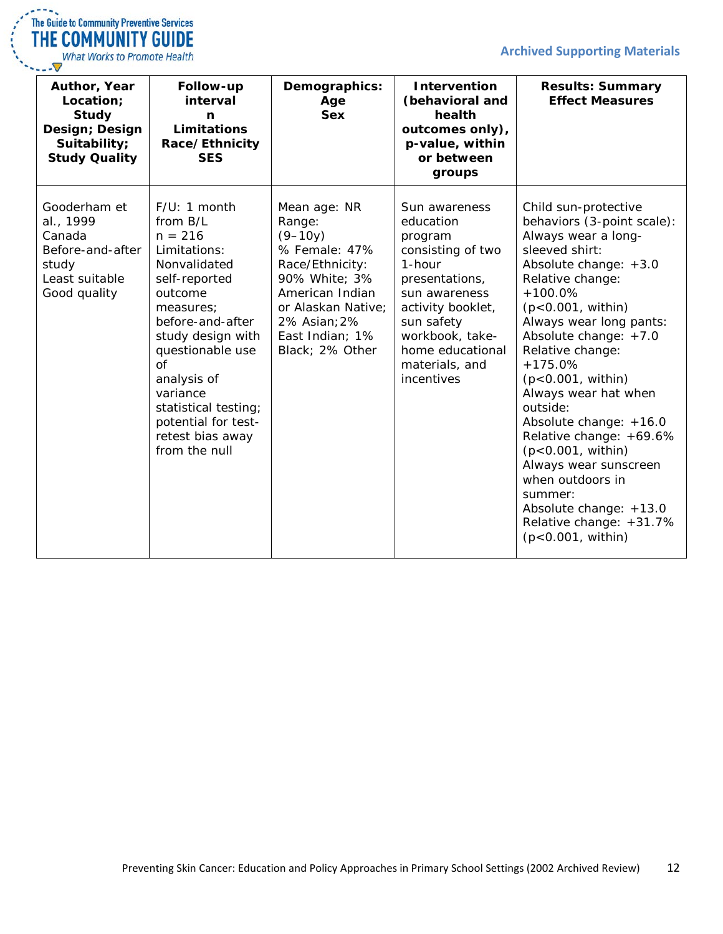What Works to Promote Health  $\overline{\nabla}$ --

| Author, Year<br>Location;<br><b>Study</b><br>Design; Design<br>Suitability;<br><b>Study Quality</b> | Follow-up<br>interval<br>n<br><b>Limitations</b><br>Race/Ethnicity<br><b>SES</b>                                                                                                                                                                                                                         | Demographics:<br>Age<br><b>Sex</b>                                                                                                                                                        | <b>Intervention</b><br>(behavioral and<br>health<br>outcomes only),<br>p-value, within<br>or between<br>groups                                                                                                    | <b>Results: Summary</b><br><b>Effect Measures</b>                                                                                                                                                                                                                                                                                                                                                                                                                                                                                                  |
|-----------------------------------------------------------------------------------------------------|----------------------------------------------------------------------------------------------------------------------------------------------------------------------------------------------------------------------------------------------------------------------------------------------------------|-------------------------------------------------------------------------------------------------------------------------------------------------------------------------------------------|-------------------------------------------------------------------------------------------------------------------------------------------------------------------------------------------------------------------|----------------------------------------------------------------------------------------------------------------------------------------------------------------------------------------------------------------------------------------------------------------------------------------------------------------------------------------------------------------------------------------------------------------------------------------------------------------------------------------------------------------------------------------------------|
| Gooderham et<br>al., 1999<br>Canada<br>Before-and-after<br>study<br>Least suitable<br>Good quality  | $F/U: 1$ month<br>from B/L<br>$n = 216$<br>Limitations:<br>Nonvalidated<br>self-reported<br>outcome<br>measures;<br>before-and-after<br>study design with<br>questionable use<br>$\Omega$<br>analysis of<br>variance<br>statistical testing;<br>potential for test-<br>retest bias away<br>from the null | Mean age: NR<br>Range:<br>$(9 - 10y)$<br>% Female: 47%<br>Race/Ethnicity:<br>90% White: 3%<br>American Indian<br>or Alaskan Native;<br>2% Asian; 2%<br>East Indian; 1%<br>Black; 2% Other | Sun awareness<br>education<br>program<br>consisting of two<br>1-hour<br>presentations,<br>sun awareness<br>activity booklet,<br>sun safety<br>workbook, take-<br>home educational<br>materials, and<br>incentives | Child sun-protective<br>behaviors (3-point scale):<br>Always wear a long-<br>sleeved shirt:<br>Absolute change: $+3.0$<br>Relative change:<br>$+100.0\%$<br>$(p<0.001,$ within)<br>Always wear long pants:<br>Absolute change: $+7.0$<br>Relative change:<br>$+175.0%$<br>$(p<0.001,$ within)<br>Always wear hat when<br>outside:<br>Absolute change: +16.0<br>Relative change: +69.6%<br>$(p<0.001$ , within)<br>Always wear sunscreen<br>when outdoors in<br>summer:<br>Absolute change: +13.0<br>Relative change: +31.7%<br>$(p<0.001,$ within) |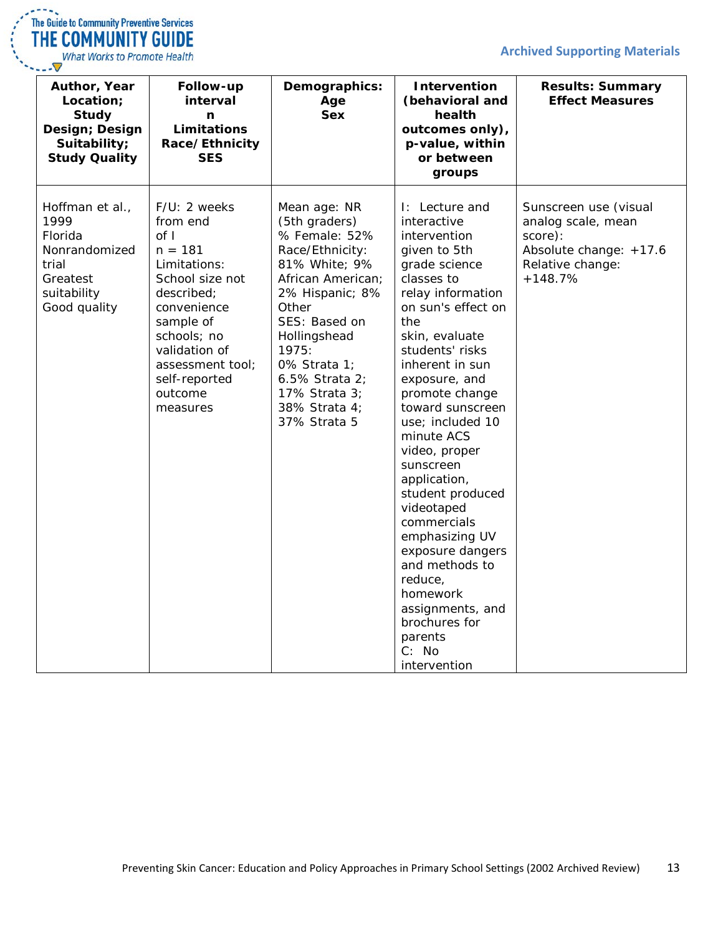What Works to Promote Health  $\overline{\nabla}$ 

| Author, Year<br>Location;<br>Study<br>Design; Design<br>Suitability;<br><b>Study Quality</b>            | Follow-up<br>interval<br>n<br>Limitations<br>Race/Ethnicity<br><b>SES</b>                                                                                                                                              | Demographics:<br>Age<br><b>Sex</b>                                                                                                                                                                                                                                | Intervention<br>(behavioral and<br>health<br>outcomes only),<br>p-value, within<br>or between<br>groups                                                                                                                                                                                                                                                                                                                                                                                                                                                | <b>Results: Summary</b><br><b>Effect Measures</b>                                                                   |
|---------------------------------------------------------------------------------------------------------|------------------------------------------------------------------------------------------------------------------------------------------------------------------------------------------------------------------------|-------------------------------------------------------------------------------------------------------------------------------------------------------------------------------------------------------------------------------------------------------------------|--------------------------------------------------------------------------------------------------------------------------------------------------------------------------------------------------------------------------------------------------------------------------------------------------------------------------------------------------------------------------------------------------------------------------------------------------------------------------------------------------------------------------------------------------------|---------------------------------------------------------------------------------------------------------------------|
| Hoffman et al.,<br>1999<br>Florida<br>Nonrandomized<br>trial<br>Greatest<br>suitability<br>Good quality | F/U: 2 weeks<br>from end<br>of I<br>$n = 181$<br>Limitations:<br>School size not<br>described;<br>convenience<br>sample of<br>schools; no<br>validation of<br>assessment tool;<br>self-reported<br>outcome<br>measures | Mean age: NR<br>(5th graders)<br>% Female: 52%<br>Race/Ethnicity:<br>81% White: 9%<br>African American;<br>2% Hispanic; 8%<br>Other<br>SES: Based on<br>Hollingshead<br>1975:<br>0% Strata 1;<br>6.5% Strata 2;<br>17% Strata 3;<br>38% Strata 4;<br>37% Strata 5 | I: Lecture and<br>interactive<br>intervention<br>given to 5th<br>grade science<br>classes to<br>relay information<br>on sun's effect on<br>the<br>skin, evaluate<br>students' risks<br>inherent in sun<br>exposure, and<br>promote change<br>toward sunscreen<br>use; included 10<br>minute ACS<br>video, proper<br>sunscreen<br>application,<br>student produced<br>videotaped<br>commercials<br>emphasizing UV<br>exposure dangers<br>and methods to<br>reduce,<br>homework<br>assignments, and<br>brochures for<br>parents<br>C: No<br>intervention | Sunscreen use (visual<br>analog scale, mean<br>score):<br>Absolute change: $+17.6$<br>Relative change:<br>$+148.7%$ |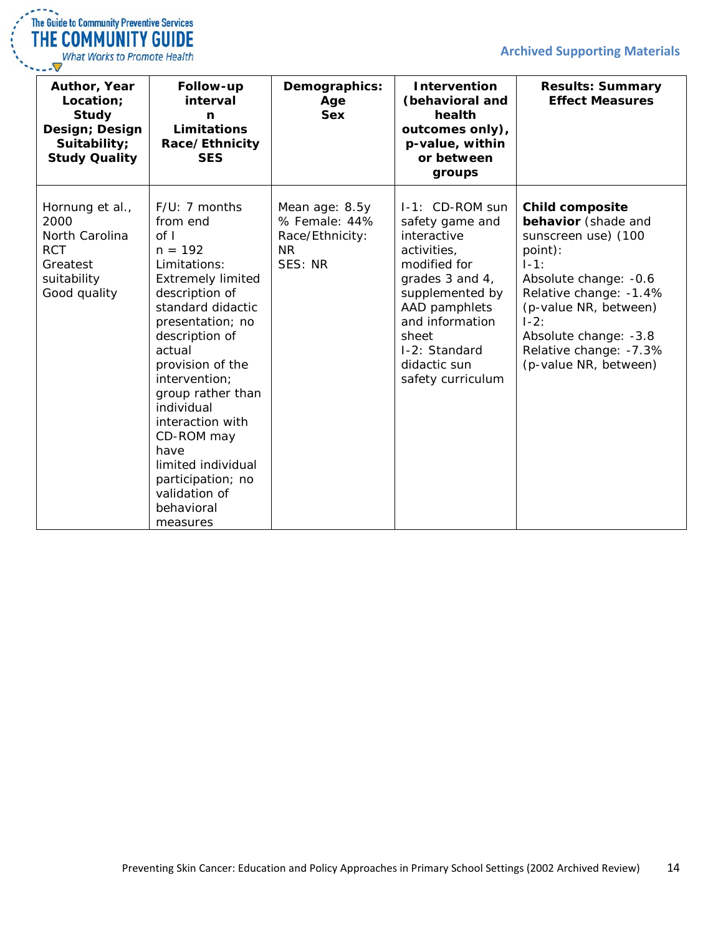What Works to Promote Health  $\overline{\nabla}$ 

| Author, Year<br>Location;<br><b>Study</b><br>Design; Design<br>Suitability;<br><b>Study Quality</b> | Follow-up<br>interval<br>n<br>Limitations<br>Race/Ethnicity<br><b>SES</b>                                                                                                                                                                                                                                                                                                                   | Demographics:<br>Age<br><b>Sex</b>                                         | Intervention<br>(behavioral and<br>health<br>outcomes only),<br>p-value, within<br>or between<br>groups                                                                                                                   | <b>Results: Summary</b><br><b>Effect Measures</b>                                                                                                                                                                                                               |
|-----------------------------------------------------------------------------------------------------|---------------------------------------------------------------------------------------------------------------------------------------------------------------------------------------------------------------------------------------------------------------------------------------------------------------------------------------------------------------------------------------------|----------------------------------------------------------------------------|---------------------------------------------------------------------------------------------------------------------------------------------------------------------------------------------------------------------------|-----------------------------------------------------------------------------------------------------------------------------------------------------------------------------------------------------------------------------------------------------------------|
| Hornung et al.,<br>2000<br>North Carolina<br><b>RCT</b><br>Greatest<br>suitability<br>Good quality  | $F/U: 7$ months<br>from end<br>of I<br>$n = 192$<br>Limitations:<br><b>Extremely limited</b><br>description of<br>standard didactic<br>presentation; no<br>description of<br>actual<br>provision of the<br>intervention;<br>group rather than<br>individual<br>interaction with<br>CD-ROM may<br>have<br>limited individual<br>participation; no<br>validation of<br>behavioral<br>measures | Mean age: 8.5y<br>% Female: 44%<br>Race/Ethnicity:<br><b>NR</b><br>SES: NR | I-1: CD-ROM sun<br>safety game and<br>interactive<br>activities,<br>modified for<br>grades 3 and 4,<br>supplemented by<br>AAD pamphlets<br>and information<br>sheet<br>I-2: Standard<br>didactic sun<br>safety curriculum | <b>Child composite</b><br>behavior (shade and<br>sunscreen use) (100<br>point):<br>$1 - 1$ :<br>Absolute change: -0.6<br>Relative change: -1.4%<br>(p-value NR, between)<br>$1-2:$<br>Absolute change: -3.8<br>Relative change: - 7.3%<br>(p-value NR, between) |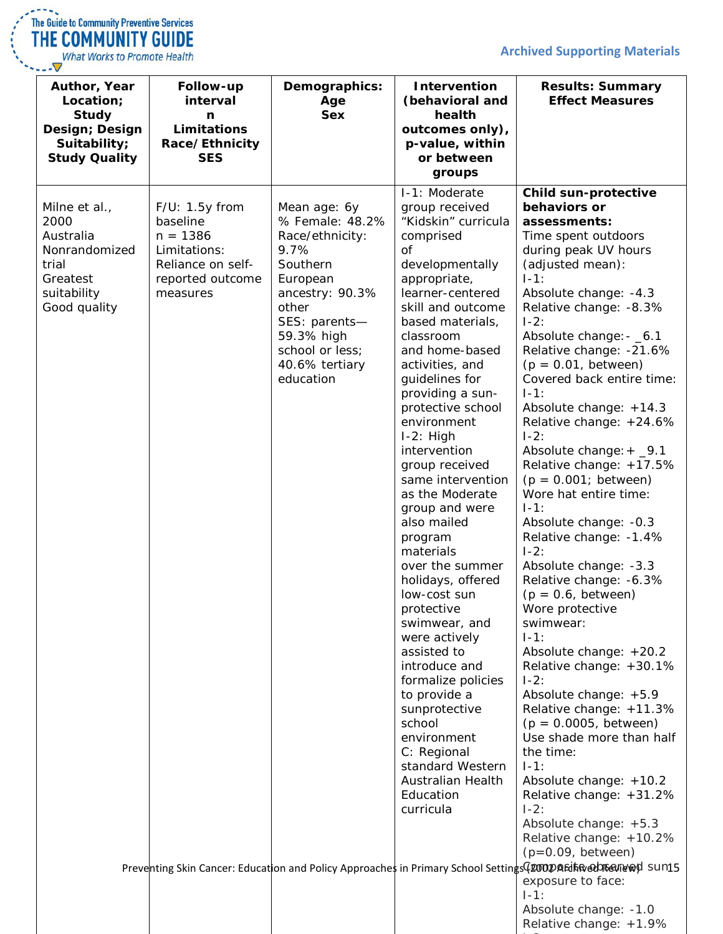| Author, Year<br>Location;<br><b>Study</b><br>Design; Design<br>Suitability;<br><b>Study Quality</b>     | Follow-up<br>interval<br>n<br>Limitations<br>Race/Ethnicity<br><b>SES</b>                                     | Demographics:<br>Age<br><b>Sex</b>                                                                                                                                                              | Intervention<br>(behavioral and<br>health<br>outcomes only),<br>p-value, within<br>or between<br>groups                                                                                                                                                                                                                                                                                                                                                                                                                                                                                                                                                                                                                                                                   | <b>Results: Summary</b><br><b>Effect Measures</b>                                                                                                                                                                                                                                                                                                                                                                                                                                                                                                                                                                                                                                                                                                                                                                                                                                                                                                                                                                                                                                                                                                                                                                               |
|---------------------------------------------------------------------------------------------------------|---------------------------------------------------------------------------------------------------------------|-------------------------------------------------------------------------------------------------------------------------------------------------------------------------------------------------|---------------------------------------------------------------------------------------------------------------------------------------------------------------------------------------------------------------------------------------------------------------------------------------------------------------------------------------------------------------------------------------------------------------------------------------------------------------------------------------------------------------------------------------------------------------------------------------------------------------------------------------------------------------------------------------------------------------------------------------------------------------------------|---------------------------------------------------------------------------------------------------------------------------------------------------------------------------------------------------------------------------------------------------------------------------------------------------------------------------------------------------------------------------------------------------------------------------------------------------------------------------------------------------------------------------------------------------------------------------------------------------------------------------------------------------------------------------------------------------------------------------------------------------------------------------------------------------------------------------------------------------------------------------------------------------------------------------------------------------------------------------------------------------------------------------------------------------------------------------------------------------------------------------------------------------------------------------------------------------------------------------------|
| Milne et al.,<br>2000<br>Australia<br>Nonrandomized<br>trial<br>Greatest<br>suitability<br>Good quality | F/U: 1.5y from<br>baseline<br>$n = 1386$<br>Limitations:<br>Reliance on self-<br>reported outcome<br>measures | Mean age: 6y<br>% Female: 48.2%<br>Race/ethnicity:<br>9.7%<br>Southern<br>European<br>ancestry: 90.3%<br>other<br>SES: parents-<br>59.3% high<br>school or less;<br>40.6% tertiary<br>education | I-1: Moderate<br>group received<br>"Kidskin" curricula<br>comprised<br>of<br>developmentally<br>appropriate,<br>learner-centered<br>skill and outcome<br>based materials,<br>classroom<br>and home-based<br>activities, and<br>guidelines for<br>providing a sun-<br>protective school<br>environment<br>$I-2$ : High<br>intervention<br>group received<br>same intervention<br>as the Moderate<br>group and were<br>also mailed<br>program<br>materials<br>over the summer<br>holidays, offered<br>low-cost sun<br>protective<br>swimwear, and<br>were actively<br>assisted to<br>introduce and<br>formalize policies<br>to provide a<br>sunprotective<br>school<br>environment<br>C: Regional<br>standard Western<br><b>Australian Health</b><br>Education<br>curricula | <b>Child sun-protective</b><br>behaviors or<br>assessments:<br>Time spent outdoors<br>during peak UV hours<br>(adjusted mean):<br>$1 - 1$ :<br>Absolute change: -4.3<br>Relative change: -8.3%<br>$1-2:$<br>Absolute change: - _6.1<br>Relative change: -21.6%<br>$(p = 0.01,$ between)<br>Covered back entire time:<br>$1 - 1$ :<br>Absolute change: +14.3<br>Relative change: +24.6%<br>$1-2:$<br>Absolute change: $+$ $-9.1$<br>Relative change: +17.5%<br>$(p = 0.001;$ between)<br>Wore hat entire time:<br>$1 - 1:$<br>Absolute change: - 0.3<br>Relative change: -1.4%<br>$1-2:$<br>Absolute change: -3.3<br>Relative change: -6.3%<br>$(p = 0.6, \text{ between})$<br>Wore protective<br>swimwear:<br>$1 - 1$ :<br>Absolute change: $+20.2$<br>Relative change: $+30.1\%$<br>$1-2:$<br>Absolute change: +5.9<br>Relative change: +11.3%<br>$(p = 0.0005, \text{ between})$<br>Use shade more than half<br>the time:<br>$1 - 1$ :<br>Absolute change: +10.2<br>Relative change: +31.2%<br>$1-2:$<br>Absolute change: $+5.3$<br>Relative change: +10.2%<br>$(p=0.09,$ between)<br>Preventing Skin Cancer: Education and Policy Approaches in Primary School Settings G2000 Pacific ed Reviewed Sum 5<br>exposure to face: |
|                                                                                                         |                                                                                                               |                                                                                                                                                                                                 |                                                                                                                                                                                                                                                                                                                                                                                                                                                                                                                                                                                                                                                                                                                                                                           | $1 - 1:$<br>Absolute change: -1.0<br>Relative change: +1.9%                                                                                                                                                                                                                                                                                                                                                                                                                                                                                                                                                                                                                                                                                                                                                                                                                                                                                                                                                                                                                                                                                                                                                                     |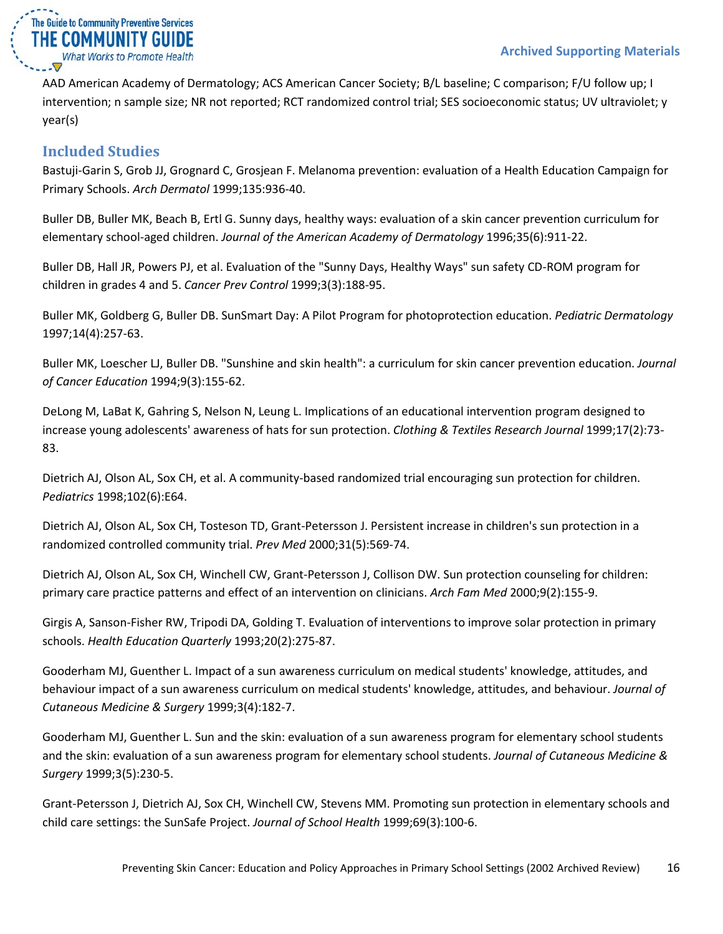

AAD American Academy of Dermatology; ACS American Cancer Society; B/L baseline; C comparison; F/U follow up; I intervention; n sample size; NR not reported; RCT randomized control trial; SES socioeconomic status; UV ultraviolet; y year(s)

## <span id="page-15-0"></span>**Included Studies**

Bastuji-Garin S, Grob JJ, Grognard C, Grosjean F. Melanoma prevention: evaluation of a Health Education Campaign for Primary Schools. *Arch Dermatol* 1999;135:936-40.

Buller DB, Buller MK, Beach B, Ertl G. Sunny days, healthy ways: evaluation of a skin cancer prevention curriculum for elementary school-aged children. *Journal of the American Academy of Dermatology* 1996;35(6):911-22.

Buller DB, Hall JR, Powers PJ, et al. Evaluation of the "Sunny Days, Healthy Ways" sun safety CD-ROM program for children in grades 4 and 5. *Cancer Prev Control* 1999;3(3):188-95.

Buller MK, Goldberg G, Buller DB. SunSmart Day: A Pilot Program for photoprotection education. *Pediatric Dermatology* 1997;14(4):257-63.

Buller MK, Loescher LJ, Buller DB. "Sunshine and skin health": a curriculum for skin cancer prevention education. *Journal of Cancer Education* 1994;9(3):155-62.

DeLong M, LaBat K, Gahring S, Nelson N, Leung L. Implications of an educational intervention program designed to increase young adolescents' awareness of hats for sun protection. *Clothing & Textiles Research Journal* 1999;17(2):73- 83.

Dietrich AJ, Olson AL, Sox CH, et al. A community-based randomized trial encouraging sun protection for children. *Pediatrics* 1998;102(6):E64.

Dietrich AJ, Olson AL, Sox CH, Tosteson TD, Grant-Petersson J. Persistent increase in children's sun protection in a randomized controlled community trial. *Prev Med* 2000;31(5):569-74.

Dietrich AJ, Olson AL, Sox CH, Winchell CW, Grant-Petersson J, Collison DW. Sun protection counseling for children: primary care practice patterns and effect of an intervention on clinicians. *Arch Fam Med* 2000;9(2):155-9.

Girgis A, Sanson-Fisher RW, Tripodi DA, Golding T. Evaluation of interventions to improve solar protection in primary schools. *Health Education Quarterly* 1993;20(2):275-87.

Gooderham MJ, Guenther L. Impact of a sun awareness curriculum on medical students' knowledge, attitudes, and behaviour impact of a sun awareness curriculum on medical students' knowledge, attitudes, and behaviour. *Journal of Cutaneous Medicine & Surgery* 1999;3(4):182-7.

Gooderham MJ, Guenther L. Sun and the skin: evaluation of a sun awareness program for elementary school students and the skin: evaluation of a sun awareness program for elementary school students. *Journal of Cutaneous Medicine & Surgery* 1999;3(5):230-5.

Grant-Petersson J, Dietrich AJ, Sox CH, Winchell CW, Stevens MM. Promoting sun protection in elementary schools and child care settings: the SunSafe Project. *Journal of School Health* 1999;69(3):100-6.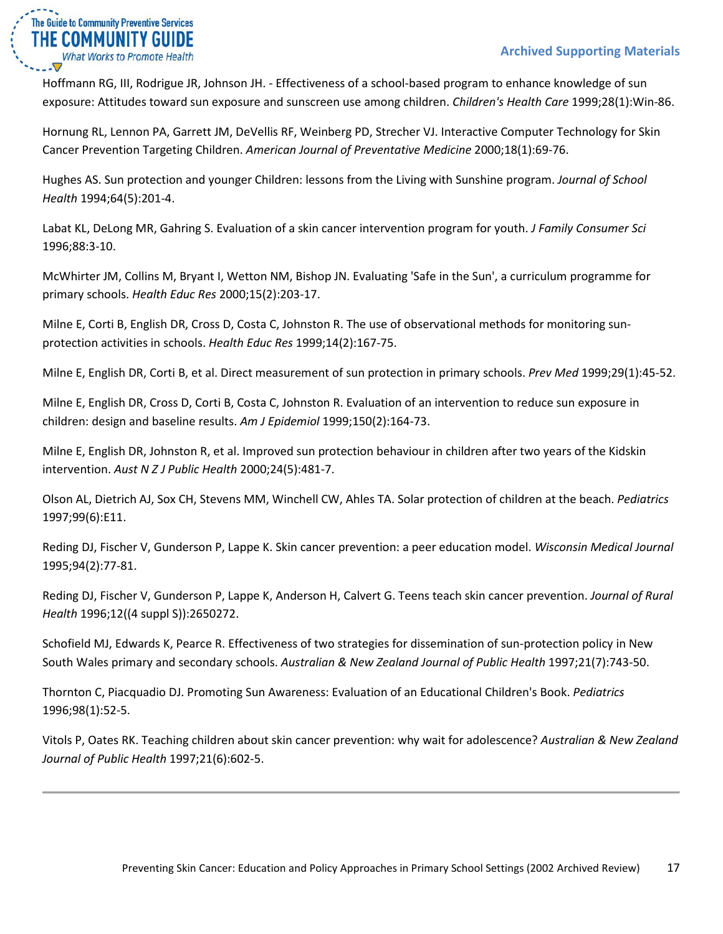

Hoffmann RG, III, Rodrigue JR, Johnson JH. - Effectiveness of a school-based program to enhance knowledge of sun exposure: Attitudes toward sun exposure and sunscreen use among children. *Children's Health Care* 1999;28(1):Win-86.

Hornung RL, Lennon PA, Garrett JM, DeVellis RF, Weinberg PD, Strecher VJ. Interactive Computer Technology for Skin Cancer Prevention Targeting Children. *American Journal of Preventative Medicine* 2000;18(1):69-76.

Hughes AS. Sun protection and younger Children: lessons from the Living with Sunshine program. *Journal of School Health* 1994;64(5):201-4.

Labat KL, DeLong MR, Gahring S. Evaluation of a skin cancer intervention program for youth. *J Family Consumer Sci* 1996;88:3-10.

McWhirter JM, Collins M, Bryant I, Wetton NM, Bishop JN. Evaluating 'Safe in the Sun', a curriculum programme for primary schools. *Health Educ Res* 2000;15(2):203-17.

Milne E, Corti B, English DR, Cross D, Costa C, Johnston R. The use of observational methods for monitoring sunprotection activities in schools. *Health Educ Res* 1999;14(2):167-75.

Milne E, English DR, Corti B, et al. Direct measurement of sun protection in primary schools. *Prev Med* 1999;29(1):45-52.

Milne E, English DR, Cross D, Corti B, Costa C, Johnston R. Evaluation of an intervention to reduce sun exposure in children: design and baseline results. *Am J Epidemiol* 1999;150(2):164-73.

Milne E, English DR, Johnston R, et al. Improved sun protection behaviour in children after two years of the Kidskin intervention. *Aust N Z J Public Health* 2000;24(5):481-7.

Olson AL, Dietrich AJ, Sox CH, Stevens MM, Winchell CW, Ahles TA. Solar protection of children at the beach. *Pediatrics* 1997;99(6):E11.

Reding DJ, Fischer V, Gunderson P, Lappe K. Skin cancer prevention: a peer education model. *Wisconsin Medical Journal* 1995;94(2):77-81.

Reding DJ, Fischer V, Gunderson P, Lappe K, Anderson H, Calvert G. Teens teach skin cancer prevention. *Journal of Rural Health* 1996;12((4 suppl S)):2650272.

Schofield MJ, Edwards K, Pearce R. Effectiveness of two strategies for dissemination of sun-protection policy in New South Wales primary and secondary schools. *Australian & New Zealand Journal of Public Health* 1997;21(7):743-50.

Thornton C, Piacquadio DJ. Promoting Sun Awareness: Evaluation of an Educational Children's Book. *Pediatrics* 1996;98(1):52-5.

Vitols P, Oates RK. Teaching children about skin cancer prevention: why wait for adolescence? *Australian & New Zealand Journal of Public Health* 1997;21(6):602-5.